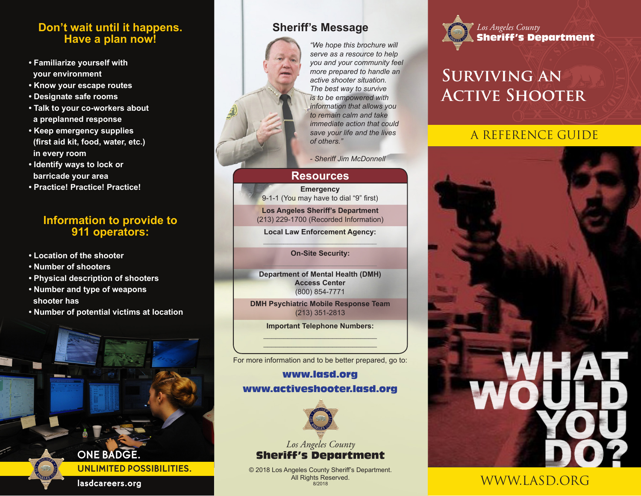#### **Don't wait until it happens. Have a plan now!**

- **Familiarize yourself with your environment**
- **Know your escape routes**
- **Designate safe rooms**
- **Talk to your co-workers about a preplanned response**
- **Keep emergency supplies (first aid kit, food, water, etc.) in every room**
- **Identify ways to lock or barricade your area**
- **Practice! Practice! Practice!**

#### **Information to provide to 911 operators:**

- **Location of the shooter**
- **Number of shooters**
- **Physical description of shooters**
- **Number and type of weapons shooter has**
- **Number of potential victims at location**

**Sheriff's Message**

*"We hope this brochure will serve as a resource to help you and your community feel more prepared to handle an active shooter situation. The best way to survive is to be empowered with information that allows you to remain calm and take immediate action that could save your life and the lives of others."*

*- Sheriff Jim McDonnell*

#### **Resources**

**Emergency** 9-1-1 (You may have to dial "9" first)

**Los Angeles Sheriff's Department**  (213) 229-1700 (Recorded Information)

**Local Law Enforcement Agency:**

**On-Site Security:**

**Department of Mental Health (DMH) Access Center** (800) 854-7771

**DMH Psychiatric Mobile Response Team** (213) 351-2813

> **Important Telephone Numbers:**  $\frac{1}{\sqrt{2}}\frac{1}{\sqrt{2}}\frac{1}{\sqrt{2}}\frac{1}{\sqrt{2}}\frac{1}{\sqrt{2}}\frac{1}{\sqrt{2}}\frac{1}{\sqrt{2}}\frac{1}{\sqrt{2}}\frac{1}{\sqrt{2}}\frac{1}{\sqrt{2}}\frac{1}{\sqrt{2}}\frac{1}{\sqrt{2}}\frac{1}{\sqrt{2}}\frac{1}{\sqrt{2}}\frac{1}{\sqrt{2}}\frac{1}{\sqrt{2}}\frac{1}{\sqrt{2}}\frac{1}{\sqrt{2}}\frac{1}{\sqrt{2}}\frac{1}{\sqrt{2}}\frac{1}{\sqrt{2}}\frac{1}{\sqrt{2}}$

For more information and to be better prepared, go to:  $\frac{1}{\sqrt{1-\frac{1}{2}\left(\frac{1}{2}\right)\left(1-\frac{1}{2}\right)}}\frac{1}{\sqrt{1-\frac{1}{2}\left(\frac{1}{2}\right)\left(1-\frac{1}{2}\right)}}\frac{1}{\sqrt{1-\frac{1}{2}\left(\frac{1}{2}\right)\left(1-\frac{1}{2}\right)}}\frac{1}{\sqrt{1-\frac{1}{2}\left(\frac{1}{2}\right)\left(1-\frac{1}{2}\right)}}\frac{1}{\sqrt{1-\frac{1}{2}\left(\frac{1}{2}\right)\left(1-\frac{1}{2}\right)}}\frac{1}{\sqrt{1-\frac{1}{2}\left(\frac{1}{2}\right)\left(1-\$ 

#### www.lasd.org www.activeshooter.lasd.org



*Los Angeles County* Sheriff's Department

© 2018 Los Angeles County Sheriff's Department. All Rights Reserved. 8/2018



## **Surviving an Active Shooter**

### A REFERENCE GUIDE



### WWW.LASD.ORG

**lasdcareers.org**

**ONE BADGE.**

**UNLIMITED POSSIBILITIES.**